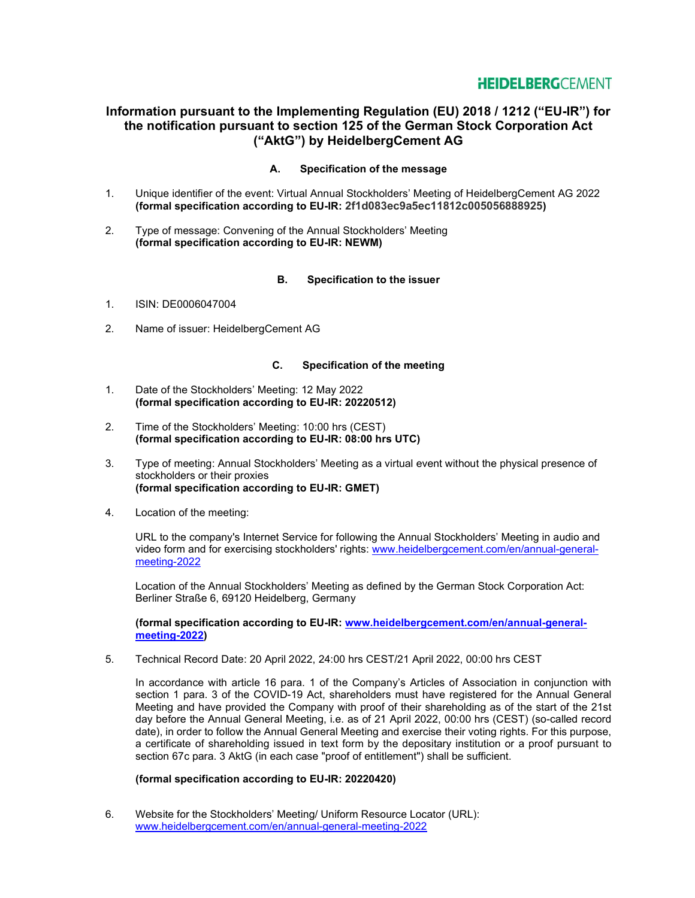# **HEIDELBERGCEMENT**

## Information pursuant to the Implementing Regulation (EU) 2018 / 1212 ("EU-IR") for the notification pursuant to section 125 of the German Stock Corporation Act ("AktG") by HeidelbergCement AG

### A. Specification of the message

- 1. Unique identifier of the event: Virtual Annual Stockholders' Meeting of HeidelbergCement AG 2022 (formal specification according to EU-IR: 2f1d083ec9a5ec11812c005056888925)
- 2. Type of message: Convening of the Annual Stockholders' Meeting (formal specification according to EU-IR: NEWM)

### B. Specification to the issuer

- 1. ISIN: DE0006047004
- 2. Name of issuer: HeidelbergCement AG

### C. Specification of the meeting

- 1. Date of the Stockholders' Meeting: 12 May 2022 (formal specification according to EU-IR: 20220512)
- 2. Time of the Stockholders' Meeting: 10:00 hrs (CEST) (formal specification according to EU-IR: 08:00 hrs UTC)
- 3. Type of meeting: Annual Stockholders' Meeting as a virtual event without the physical presence of stockholders or their proxies (formal specification according to EU-IR: GMET)
- 4. Location of the meeting:

 URL to the company's Internet Service for following the Annual Stockholders' Meeting in audio and video form and for exercising stockholders' rights: www.heidelbergcement.com/en/annual-generalmeeting-2022

Location of the Annual Stockholders' Meeting as defined by the German Stock Corporation Act: Berliner Straße 6, 69120 Heidelberg, Germany

### (formal specification according to EU-IR: www.heidelbergcement.com/en/annual-generalmeeting-2022)

5. Technical Record Date: 20 April 2022, 24:00 hrs CEST/21 April 2022, 00:00 hrs CEST

 In accordance with article 16 para. 1 of the Company's Articles of Association in conjunction with section 1 para. 3 of the COVID-19 Act, shareholders must have registered for the Annual General Meeting and have provided the Company with proof of their shareholding as of the start of the 21st day before the Annual General Meeting, i.e. as of 21 April 2022, 00:00 hrs (CEST) (so-called record date), in order to follow the Annual General Meeting and exercise their voting rights. For this purpose, a certificate of shareholding issued in text form by the depositary institution or a proof pursuant to section 67c para. 3 AktG (in each case "proof of entitlement") shall be sufficient.

### (formal specification according to EU-IR: 20220420)

6. Website for the Stockholders' Meeting/ Uniform Resource Locator (URL): www.heidelbergcement.com/en/annual-general-meeting-2022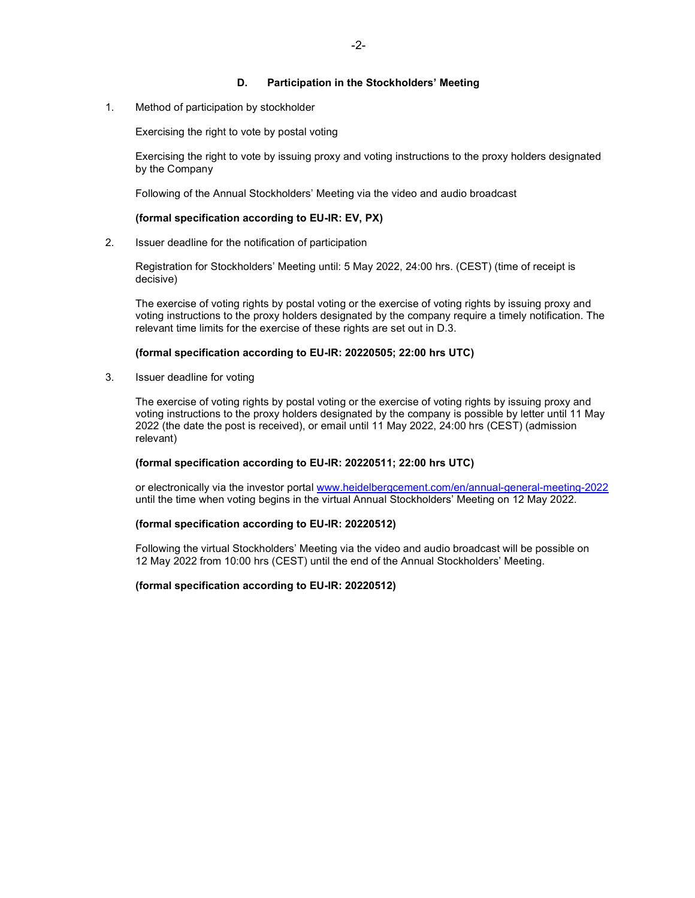### D. Participation in the Stockholders' Meeting

1. Method of participation by stockholder

Exercising the right to vote by postal voting

Exercising the right to vote by issuing proxy and voting instructions to the proxy holders designated by the Company

Following of the Annual Stockholders' Meeting via the video and audio broadcast

### (formal specification according to EU-IR: EV, PX)

2. Issuer deadline for the notification of participation

 Registration for Stockholders' Meeting until: 5 May 2022, 24:00 hrs. (CEST) (time of receipt is decisive)

 The exercise of voting rights by postal voting or the exercise of voting rights by issuing proxy and voting instructions to the proxy holders designated by the company require a timely notification. The relevant time limits for the exercise of these rights are set out in D.3.

#### (formal specification according to EU-IR: 20220505; 22:00 hrs UTC)

3. Issuer deadline for voting

 The exercise of voting rights by postal voting or the exercise of voting rights by issuing proxy and voting instructions to the proxy holders designated by the company is possible by letter until 11 May 2022 (the date the post is received), or email until 11 May 2022, 24:00 hrs (CEST) (admission relevant)

### (formal specification according to EU-IR: 20220511; 22:00 hrs UTC)

 or electronically via the investor portal www.heidelbergcement.com/en/annual-general-meeting-2022 until the time when voting begins in the virtual Annual Stockholders' Meeting on 12 May 2022.

#### (formal specification according to EU-IR: 20220512)

 Following the virtual Stockholders' Meeting via the video and audio broadcast will be possible on 12 May 2022 from 10:00 hrs (CEST) until the end of the Annual Stockholders' Meeting.

### (formal specification according to EU-IR: 20220512)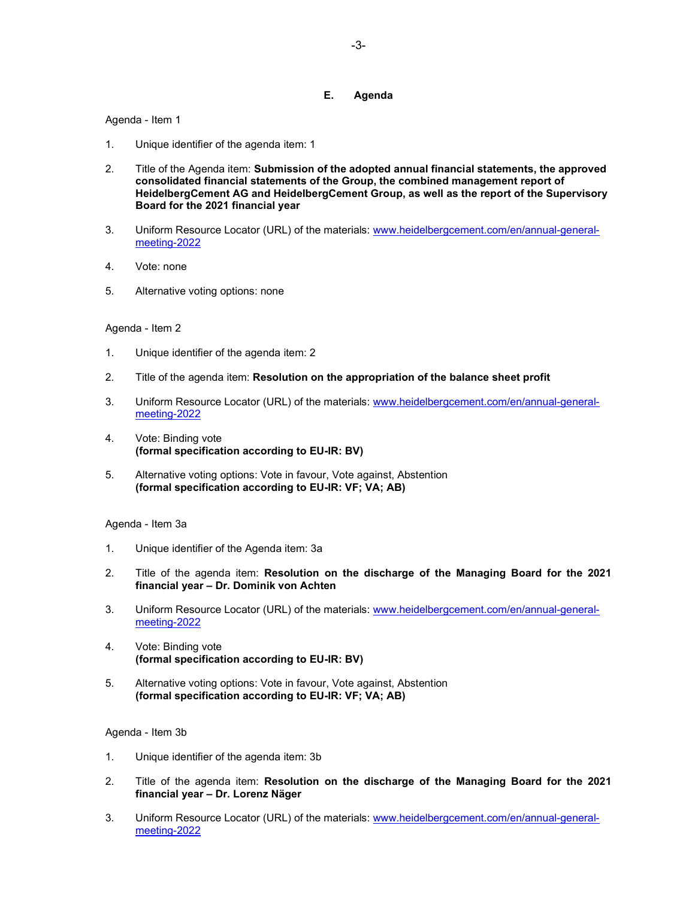### E. Agenda

### Agenda - Item 1

- 1. Unique identifier of the agenda item: 1
- 2. Title of the Agenda item: Submission of the adopted annual financial statements, the approved consolidated financial statements of the Group, the combined management report of HeidelbergCement AG and HeidelbergCement Group, as well as the report of the Supervisory Board for the 2021 financial year
- 3. Uniform Resource Locator (URL) of the materials: www.heidelbergcement.com/en/annual-generalmeeting-2022
- 4. Vote: none
- 5. Alternative voting options: none

#### Agenda - Item 2

- 1. Unique identifier of the agenda item: 2
- 2. Title of the agenda item: Resolution on the appropriation of the balance sheet profit
- 3. Uniform Resource Locator (URL) of the materials: www.heidelbergcement.com/en/annual-generalmeeting-2022
- 4. Vote: Binding vote (formal specification according to EU-IR: BV)
- 5. Alternative voting options: Vote in favour, Vote against, Abstention (formal specification according to EU-IR: VF; VA; AB)

### Agenda - Item 3a

- 1. Unique identifier of the Agenda item: 3a
- 2. Title of the agenda item: Resolution on the discharge of the Managing Board for the 2021 financial year – Dr. Dominik von Achten
- 3. Uniform Resource Locator (URL) of the materials: www.heidelbergcement.com/en/annual-generalmeeting-2022
- 4. Vote: Binding vote (formal specification according to EU-IR: BV)
- 5. Alternative voting options: Vote in favour, Vote against, Abstention (formal specification according to EU-IR: VF; VA; AB)

#### Agenda - Item 3b

- 1. Unique identifier of the agenda item: 3b
- 2. Title of the agenda item: Resolution on the discharge of the Managing Board for the 2021 financial year – Dr. Lorenz Näger
- 3. Uniform Resource Locator (URL) of the materials: www.heidelbergcement.com/en/annual-generalmeeting-2022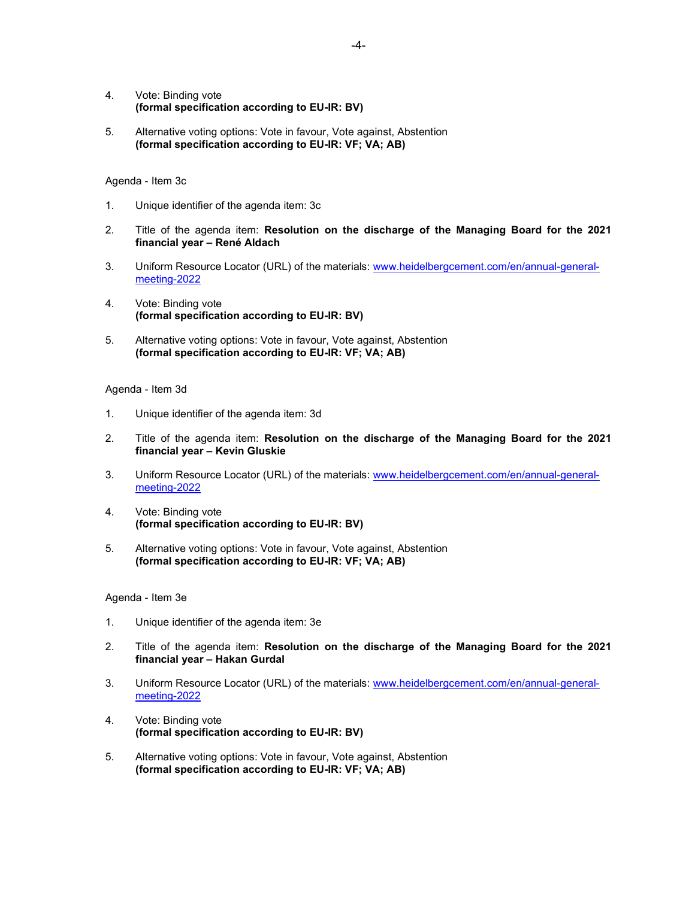- 4. Vote: Binding vote (formal specification according to EU-IR: BV)
- 5. Alternative voting options: Vote in favour, Vote against, Abstention (formal specification according to EU-IR: VF; VA; AB)

### Agenda - Item 3c

- 1. Unique identifier of the agenda item: 3c
- 2. Title of the agenda item: Resolution on the discharge of the Managing Board for the 2021 financial year – René Aldach
- 3. Uniform Resource Locator (URL) of the materials: www.heidelbergcement.com/en/annual-generalmeeting-2022
- 4. Vote: Binding vote (formal specification according to EU-IR: BV)
- 5. Alternative voting options: Vote in favour, Vote against, Abstention (formal specification according to EU-IR: VF; VA; AB)

#### Agenda - Item 3d

- 1. Unique identifier of the agenda item: 3d
- 2. Title of the agenda item: Resolution on the discharge of the Managing Board for the 2021 financial year – Kevin Gluskie
- 3. Uniform Resource Locator (URL) of the materials: www.heidelbergcement.com/en/annual-generalmeeting-2022
- 4. Vote: Binding vote (formal specification according to EU-IR: BV)
- 5. Alternative voting options: Vote in favour, Vote against, Abstention (formal specification according to EU-IR: VF; VA; AB)

#### Agenda - Item 3e

- 1. Unique identifier of the agenda item: 3e
- 2. Title of the agenda item: Resolution on the discharge of the Managing Board for the 2021 financial year – Hakan Gurdal
- 3. Uniform Resource Locator (URL) of the materials: www.heidelbergcement.com/en/annual-generalmeeting-2022
- 4. Vote: Binding vote (formal specification according to EU-IR: BV)
- 5. Alternative voting options: Vote in favour, Vote against, Abstention (formal specification according to EU-IR: VF; VA; AB)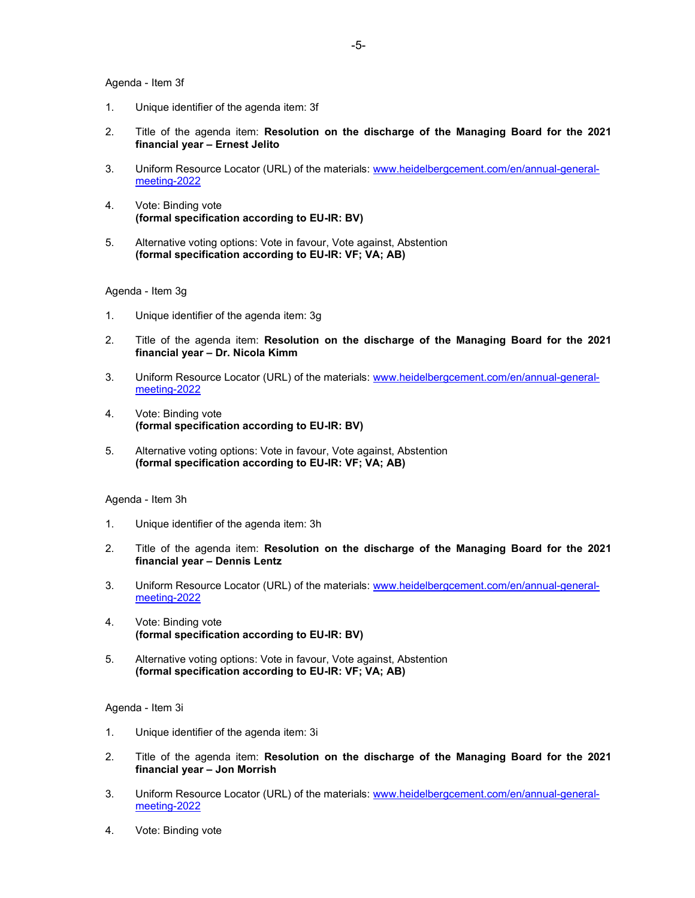#### Agenda - Item 3f

- 1. Unique identifier of the agenda item: 3f
- 2. Title of the agenda item: Resolution on the discharge of the Managing Board for the 2021 financial year – Ernest Jelito
- 3. Uniform Resource Locator (URL) of the materials: www.heidelbergcement.com/en/annual-generalmeeting-2022
- 4. Vote: Binding vote (formal specification according to EU-IR: BV)
- 5. Alternative voting options: Vote in favour, Vote against, Abstention (formal specification according to EU-IR: VF; VA; AB)

#### Agenda - Item 3g

- 1. Unique identifier of the agenda item: 3g
- 2. Title of the agenda item: Resolution on the discharge of the Managing Board for the 2021 financial year – Dr. Nicola Kimm
- 3. Uniform Resource Locator (URL) of the materials: www.heidelbergcement.com/en/annual-generalmeeting-2022
- 4. Vote: Binding vote (formal specification according to EU-IR: BV)
- 5. Alternative voting options: Vote in favour, Vote against, Abstention (formal specification according to EU-IR: VF; VA; AB)

#### Agenda - Item 3h

- 1. Unique identifier of the agenda item: 3h
- 2. Title of the agenda item: Resolution on the discharge of the Managing Board for the 2021 financial year – Dennis Lentz
- 3. Uniform Resource Locator (URL) of the materials: www.heidelbergcement.com/en/annual-generalmeeting-2022
- 4. Vote: Binding vote (formal specification according to EU-IR: BV)
- 5. Alternative voting options: Vote in favour, Vote against, Abstention (formal specification according to EU-IR: VF; VA; AB)

#### Agenda - Item 3i

- 1. Unique identifier of the agenda item: 3i
- 2. Title of the agenda item: Resolution on the discharge of the Managing Board for the 2021 financial year – Jon Morrish
- 3. Uniform Resource Locator (URL) of the materials: www.heidelbergcement.com/en/annual-generalmeeting-2022
- 4. Vote: Binding vote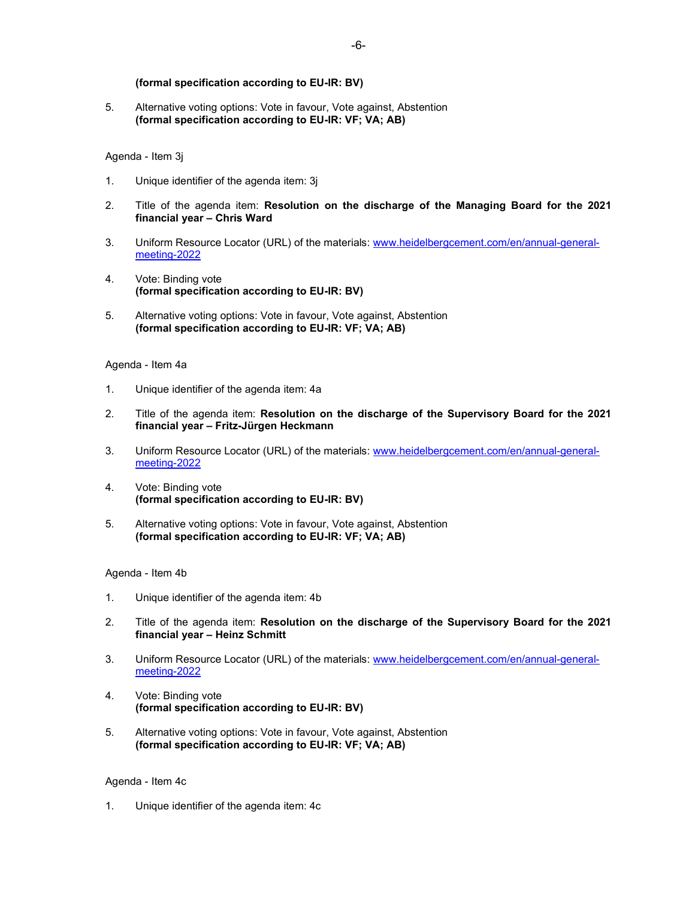5. Alternative voting options: Vote in favour, Vote against, Abstention (formal specification according to EU-IR: VF; VA; AB)

Agenda - Item 3j

- 1. Unique identifier of the agenda item: 3j
- 2. Title of the agenda item: Resolution on the discharge of the Managing Board for the 2021 financial year – Chris Ward
- 3. Uniform Resource Locator (URL) of the materials: www.heidelbergcement.com/en/annual-generalmeeting-2022
- 4. Vote: Binding vote (formal specification according to EU-IR: BV)
- 5. Alternative voting options: Vote in favour, Vote against, Abstention (formal specification according to EU-IR: VF; VA; AB)

### Agenda - Item 4a

- 1. Unique identifier of the agenda item: 4a
- 2. Title of the agenda item: Resolution on the discharge of the Supervisory Board for the 2021 financial year – Fritz-Jürgen Heckmann
- 3. Uniform Resource Locator (URL) of the materials: www.heidelbergcement.com/en/annual-generalmeeting-2022
- 4. Vote: Binding vote (formal specification according to EU-IR: BV)
- 5. Alternative voting options: Vote in favour, Vote against, Abstention (formal specification according to EU-IR: VF; VA; AB)

### Agenda - Item 4b

- 1. Unique identifier of the agenda item: 4b
- 2. Title of the agenda item: Resolution on the discharge of the Supervisory Board for the 2021 financial year – Heinz Schmitt
- 3. Uniform Resource Locator (URL) of the materials: www.heidelbergcement.com/en/annual-generalmeeting-2022
- 4. Vote: Binding vote (formal specification according to EU-IR: BV)
- 5. Alternative voting options: Vote in favour, Vote against, Abstention (formal specification according to EU-IR: VF; VA; AB)

### Agenda - Item 4c

1. Unique identifier of the agenda item: 4c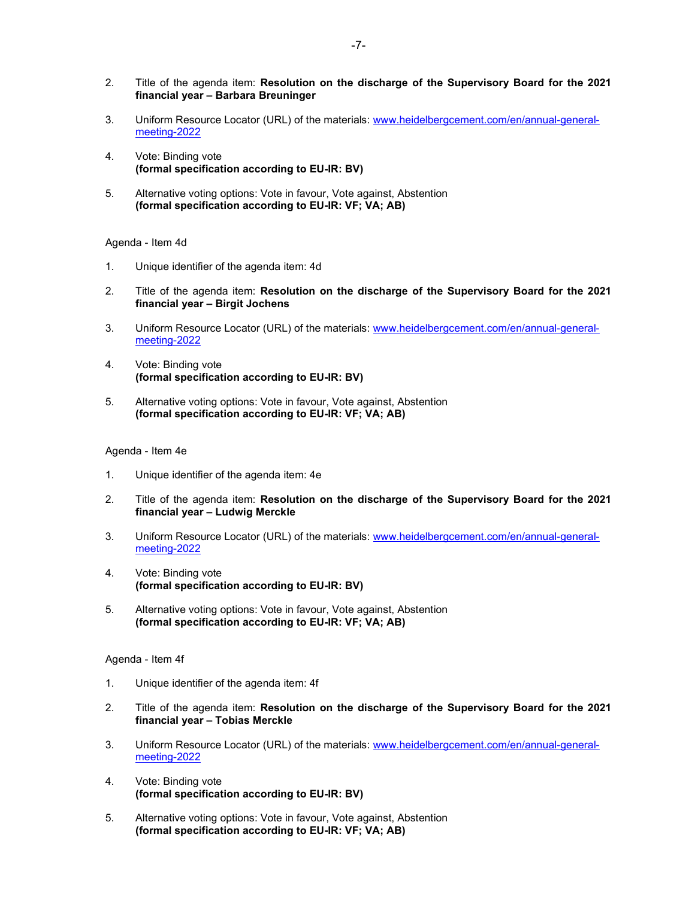- 2. Title of the agenda item: Resolution on the discharge of the Supervisory Board for the 2021 financial year – Barbara Breuninger
- 3. Uniform Resource Locator (URL) of the materials: www.heidelbergcement.com/en/annual-generalmeeting-2022
- 4. Vote: Binding vote (formal specification according to EU-IR: BV)
- 5. Alternative voting options: Vote in favour, Vote against, Abstention (formal specification according to EU-IR: VF; VA; AB)

### Agenda - Item 4d

- 1. Unique identifier of the agenda item: 4d
- 2. Title of the agenda item: Resolution on the discharge of the Supervisory Board for the 2021 financial year – Birgit Jochens
- 3. Uniform Resource Locator (URL) of the materials: www.heidelbergcement.com/en/annual-generalmeeting-2022
- 4. Vote: Binding vote (formal specification according to EU-IR: BV)
- 5. Alternative voting options: Vote in favour, Vote against, Abstention (formal specification according to EU-IR: VF; VA; AB)

### Agenda - Item 4e

- 1. Unique identifier of the agenda item: 4e
- 2. Title of the agenda item: Resolution on the discharge of the Supervisory Board for the 2021 financial year – Ludwig Merckle
- 3. Uniform Resource Locator (URL) of the materials: www.heidelbergcement.com/en/annual-generalmeeting-2022
- 4. Vote: Binding vote (formal specification according to EU-IR: BV)
- 5. Alternative voting options: Vote in favour, Vote against, Abstention (formal specification according to EU-IR: VF; VA; AB)

#### Agenda - Item 4f

- 1. Unique identifier of the agenda item: 4f
- 2. Title of the agenda item: Resolution on the discharge of the Supervisory Board for the 2021 financial year – Tobias Merckle
- 3. Uniform Resource Locator (URL) of the materials: www.heidelbergcement.com/en/annual-generalmeeting-2022
- 4. Vote: Binding vote (formal specification according to EU-IR: BV)
- 5. Alternative voting options: Vote in favour, Vote against, Abstention (formal specification according to EU-IR: VF; VA; AB)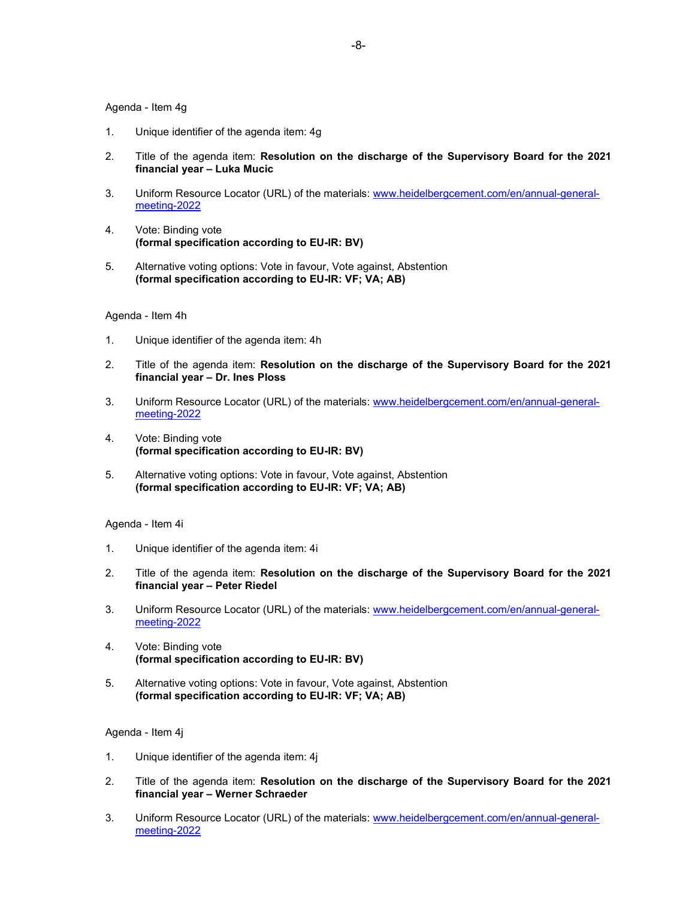#### Agenda - Item 4g

- 1. Unique identifier of the agenda item: 4g
- 2. Title of the agenda item: Resolution on the discharge of the Supervisory Board for the 2021 financial year – Luka Mucic
- 3. Uniform Resource Locator (URL) of the materials: www.heidelbergcement.com/en/annual-generalmeeting-2022
- 4. Vote: Binding vote (formal specification according to EU-IR: BV)
- 5. Alternative voting options: Vote in favour, Vote against, Abstention (formal specification according to EU-IR: VF; VA; AB)

#### Agenda - Item 4h

- 1. Unique identifier of the agenda item: 4h
- 2. Title of the agenda item: Resolution on the discharge of the Supervisory Board for the 2021 financial year – Dr. Ines Ploss
- 3. Uniform Resource Locator (URL) of the materials: www.heidelbergcement.com/en/annual-generalmeeting-2022
- 4. Vote: Binding vote (formal specification according to EU-IR: BV)
- 5. Alternative voting options: Vote in favour, Vote against, Abstention (formal specification according to EU-IR: VF; VA; AB)

### Agenda - Item 4i

- 1. Unique identifier of the agenda item: 4i
- 2. Title of the agenda item: Resolution on the discharge of the Supervisory Board for the 2021 financial year – Peter Riedel
- 3. Uniform Resource Locator (URL) of the materials: www.heidelbergcement.com/en/annual-generalmeeting-2022
- 4. Vote: Binding vote (formal specification according to EU-IR: BV)
- 5. Alternative voting options: Vote in favour, Vote against, Abstention (formal specification according to EU-IR: VF; VA; AB)

#### Agenda - Item 4j

- 1. Unique identifier of the agenda item: 4j
- 2. Title of the agenda item: Resolution on the discharge of the Supervisory Board for the 2021 financial year – Werner Schraeder
- 3. Uniform Resource Locator (URL) of the materials: www.heidelbergcement.com/en/annual-generalmeeting-2022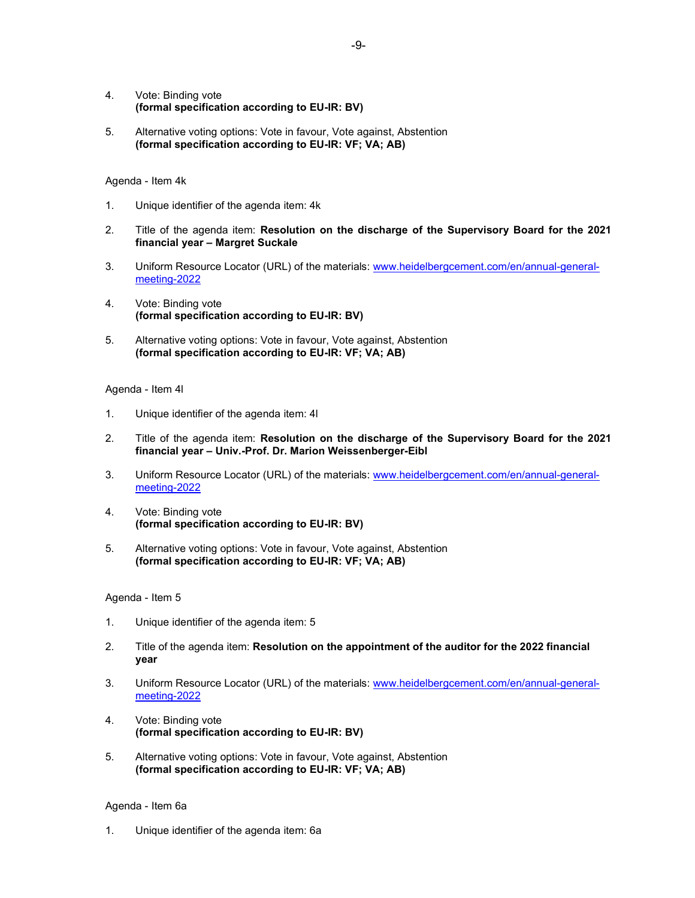- 4. Vote: Binding vote (formal specification according to EU-IR: BV)
- 5. Alternative voting options: Vote in favour, Vote against, Abstention (formal specification according to EU-IR: VF; VA; AB)

### Agenda - Item 4k

- 1. Unique identifier of the agenda item: 4k
- 2. Title of the agenda item: Resolution on the discharge of the Supervisory Board for the 2021 financial year – Margret Suckale
- 3. Uniform Resource Locator (URL) of the materials: www.heidelbergcement.com/en/annual-generalmeeting-2022
- 4. Vote: Binding vote (formal specification according to EU-IR: BV)
- 5. Alternative voting options: Vote in favour, Vote against, Abstention (formal specification according to EU-IR: VF; VA; AB)

### Agenda - Item 4l

- 1. Unique identifier of the agenda item: 4l
- 2. Title of the agenda item: Resolution on the discharge of the Supervisory Board for the 2021 financial year – Univ.-Prof. Dr. Marion Weissenberger-Eibl
- 3. Uniform Resource Locator (URL) of the materials: www.heidelbergcement.com/en/annual-generalmeeting-2022
- 4. Vote: Binding vote (formal specification according to EU-IR: BV)
- 5. Alternative voting options: Vote in favour, Vote against, Abstention (formal specification according to EU-IR: VF; VA; AB)

### Agenda - Item 5

- 1. Unique identifier of the agenda item: 5
- 2. Title of the agenda item: Resolution on the appointment of the auditor for the 2022 financial year
- 3. Uniform Resource Locator (URL) of the materials: www.heidelbergcement.com/en/annual-generalmeeting-2022
- 4. Vote: Binding vote (formal specification according to EU-IR: BV)
- 5. Alternative voting options: Vote in favour, Vote against, Abstention (formal specification according to EU-IR: VF; VA; AB)

### Agenda - Item 6a

1. Unique identifier of the agenda item: 6a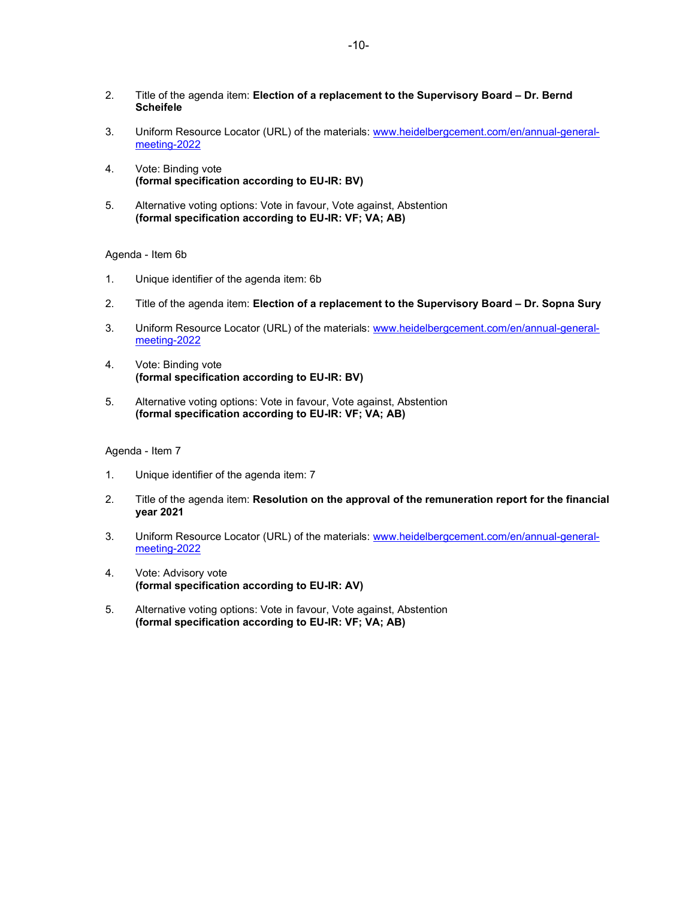- 3. Uniform Resource Locator (URL) of the materials: www.heidelbergcement.com/en/annual-generalmeeting-2022
- 4. Vote: Binding vote (formal specification according to EU-IR: BV)
- 5. Alternative voting options: Vote in favour, Vote against, Abstention (formal specification according to EU-IR: VF; VA; AB)

### Agenda - Item 6b

- 1. Unique identifier of the agenda item: 6b
- 2. Title of the agenda item: Election of a replacement to the Supervisory Board Dr. Sopna Sury
- 3. Uniform Resource Locator (URL) of the materials: www.heidelbergcement.com/en/annual-generalmeeting-2022
- 4. Vote: Binding vote (formal specification according to EU-IR: BV)
- 5. Alternative voting options: Vote in favour, Vote against, Abstention (formal specification according to EU-IR: VF; VA; AB)

### Agenda - Item 7

- 1. Unique identifier of the agenda item: 7
- 2. Title of the agenda item: Resolution on the approval of the remuneration report for the financial year 2021
- 3. Uniform Resource Locator (URL) of the materials: www.heidelbergcement.com/en/annual-generalmeeting-2022
- 4. Vote: Advisory vote (formal specification according to EU-IR: AV)
- 5. Alternative voting options: Vote in favour, Vote against, Abstention (formal specification according to EU-IR: VF; VA; AB)